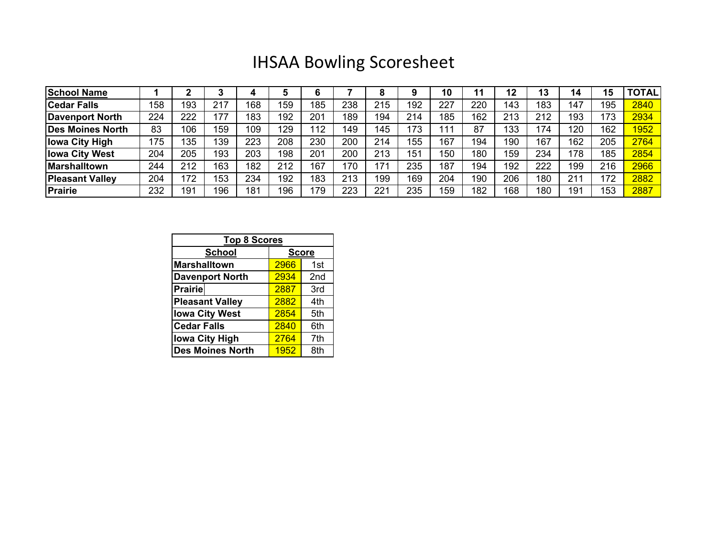## IHSAA Bowling Scoresheet

| <b>School Name</b>      |     |     |     |     |     |     |     |     |     | 10  |     | 12  | IJ  | 14  | 15  | <b>TOTAL</b> |
|-------------------------|-----|-----|-----|-----|-----|-----|-----|-----|-----|-----|-----|-----|-----|-----|-----|--------------|
| <b>Cedar Falls</b>      | 158 | 193 | 217 | 168 | 159 | 185 | 238 | 215 | 192 | 227 | 220 | 143 | 183 | 147 | 195 | 2840         |
| Davenport North         | 224 | 222 | 177 | 183 | 192 | 201 | 189 | 194 | 214 | 185 | 162 | 213 | 212 | 193 | 173 | 2934         |
| <b>Des Moines North</b> | 83  | 106 | 159 | 109 | 129 | 12  | 149 | 145 | 173 | 111 | 87  | 133 | 174 | 120 | 162 | <b>1952</b>  |
| <b>Iowa City High</b>   | 175 | 135 | 139 | 223 | 208 | 230 | 200 | 214 | 155 | 167 | 194 | 190 | 167 | 162 | 205 | 2764         |
| <b>Iowa City West</b>   | 204 | 205 | 193 | 203 | 198 | 201 | 200 | 213 | 151 | 150 | 180 | 159 | 234 | 178 | 185 | 2854         |
| <b>Marshalltown</b>     | 244 | 212 | 163 | 182 | 212 | 167 | 170 | 171 | 235 | 187 | 194 | 192 | 222 | 199 | 216 | 2966         |
| <b>Pleasant Valley</b>  | 204 | 172 | 153 | 234 | 192 | 183 | 213 | 199 | 169 | 204 | 190 | 206 | 180 | 211 | 172 | 2882         |
| Prairie                 | 232 | 191 | 196 | 181 | 196 | 79  | 223 | 221 | 235 | 159 | 182 | 168 | 180 | 191 | 153 | 2887         |

| <b>Top 8 Scores</b>     |              |                 |  |  |  |  |  |
|-------------------------|--------------|-----------------|--|--|--|--|--|
| <b>School</b>           | <b>Score</b> |                 |  |  |  |  |  |
| <b>Marshalltown</b>     | 2966         | 1st             |  |  |  |  |  |
| <b>Davenport North</b>  | 2934         | 2 <sub>nd</sub> |  |  |  |  |  |
| <b>Prairie</b>          | 2887         | 3rd             |  |  |  |  |  |
| <b>Pleasant Valley</b>  | 2882         | 4th             |  |  |  |  |  |
| <b>Iowa City West</b>   | 2854         | 5th             |  |  |  |  |  |
| <b>Cedar Falls</b>      | 2840         | 6th             |  |  |  |  |  |
| <b>lowa City High</b>   | 2764         | 7th             |  |  |  |  |  |
| <b>Des Moines North</b> | 1952         | 8th             |  |  |  |  |  |